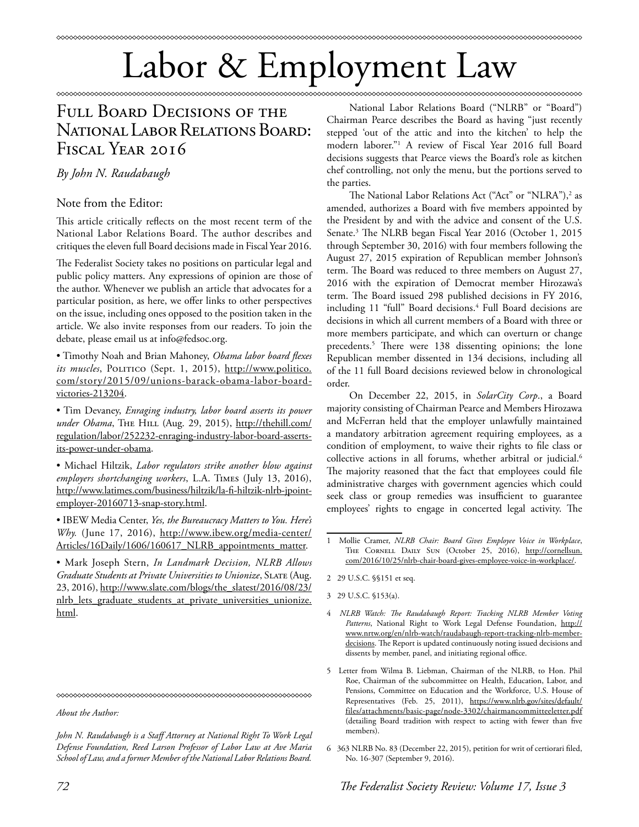## Labor & Employment Law

## Full Board Decisions of the National Labor Relations Board: FISCAL YEAR 2016

*By John N. Raudabaugh*

## Note from the Editor:

This article critically reflects on the most recent term of the National Labor Relations Board. The author describes and critiques the eleven full Board decisions made in Fiscal Year 2016.

The Federalist Society takes no positions on particular legal and public policy matters. Any expressions of opinion are those of the author. Whenever we publish an article that advocates for a particular position, as here, we offer links to other perspectives on the issue, including ones opposed to the position taken in the article. We also invite responses from our readers. To join the debate, please email us at info@fedsoc.org.

• Timothy Noah and Brian Mahoney, *Obama labor board flexes*  its muscles, POLITICO (Sept. 1, 2015), http://www.politico. com/story/2015/09/unions-barack-obama-labor-boardvictories-213204.

• Tim Devaney, *Enraging industry, labor board asserts its power*  under Obama, THE HILL (Aug. 29, 2015), http://thehill.com/ regulation/labor/252232-enraging-industry-labor-board-assertsits-power-under-obama.

• Michael Hiltzik, *Labor regulators strike another blow against employers shortchanging workers*, L.A. Times (July 13, 2016), http://www.latimes.com/business/hiltzik/la-fi-hiltzik-nlrb-jpointemployer-20160713-snap-story.html.

• IBEW Media Center, *Yes, the Bureaucracy Matters to You. Here's Why.* (June 17, 2016), http://www.ibew.org/media-center/ Articles/16Daily/1606/160617\_NLRB\_appointments\_matter.

• Mark Joseph Stern, *In Landmark Decision, NLRB Allows Graduate Students at Private Universities to Unionize*, Slate (Aug. 23, 2016), http://www.slate.com/blogs/the\_slatest/2016/08/23/ nlrb\_lets\_graduate\_students\_at\_private\_universities\_unionize. html.

*About the Author:* 

*John N. Raudabaugh is a Staff Attorney at National Right To Work Legal Defense Foundation, Reed Larson Professor of Labor Law at Ave Maria School of Law, and a former Member of the National Labor Relations Board.*

National Labor Relations Board ("NLRB" or "Board") Chairman Pearce describes the Board as having "just recently stepped 'out of the attic and into the kitchen' to help the modern laborer."1 A review of Fiscal Year 2016 full Board decisions suggests that Pearce views the Board's role as kitchen chef controlling, not only the menu, but the portions served to the parties.

\*\*\*\*\*\*\*\*\*\*\*\*\*\*\*\*\*\*\*\*\*\*\*\*

The National Labor Relations Act ("Act" or "NLRA"),<sup>2</sup> as amended, authorizes a Board with five members appointed by the President by and with the advice and consent of the U.S. Senate.3 The NLRB began Fiscal Year 2016 (October 1, 2015 through September 30, 2016) with four members following the August 27, 2015 expiration of Republican member Johnson's term. The Board was reduced to three members on August 27, 2016 with the expiration of Democrat member Hirozawa's term. The Board issued 298 published decisions in FY 2016, including 11 "full" Board decisions.4 Full Board decisions are decisions in which all current members of a Board with three or more members participate, and which can overturn or change precedents.5 There were 138 dissenting opinions; the lone Republican member dissented in 134 decisions, including all of the 11 full Board decisions reviewed below in chronological order.

On December 22, 2015, in *SolarCity Corp*., a Board majority consisting of Chairman Pearce and Members Hirozawa and McFerran held that the employer unlawfully maintained a mandatory arbitration agreement requiring employees, as a condition of employment, to waive their rights to file class or collective actions in all forums, whether arbitral or judicial.<sup>6</sup> The majority reasoned that the fact that employees could file administrative charges with government agencies which could seek class or group remedies was insufficient to guarantee employees' rights to engage in concerted legal activity. The

- 2 29 U.S.C. §§151 et seq.
- 3 29 U.S.C. §153(a).
- 4 *NLRB Watch: The Raudabaugh Report: Tracking NLRB Member Voting*  Patterns, National Right to Work Legal Defense Foundation, http:// www.nrtw.org/en/nlrb-watch/raudabaugh-report-tracking-nlrb-memberdecisions. The Report is updated continuously noting issued decisions and dissents by member, panel, and initiating regional office.
- 5 Letter from Wilma B. Liebman, Chairman of the NLRB, to Hon. Phil Roe, Chairman of the subcommittee on Health, Education, Labor, and Pensions, Committee on Education and the Workforce, U.S. House of Representatives (Feb. 25, 2011), https://www.nlrb.gov/sites/default/ files/attachments/basic-page/node-3302/chairmancommitteeletter.pdf (detailing Board tradition with respect to acting with fewer than five members).
- 6 363 NLRB No. 83 (December 22, 2015), petition for writ of certiorari filed, No. 16-307 (September 9, 2016).

<sup>1</sup> Mollie Cramer, *NLRB Chair: Board Gives Employee Voice in Workplace*, THE CORNELL DAILY SUN (October 25, 2016), http://cornellsun. com/2016/10/25/nlrb-chair-board-gives-employee-voice-in-workplace/.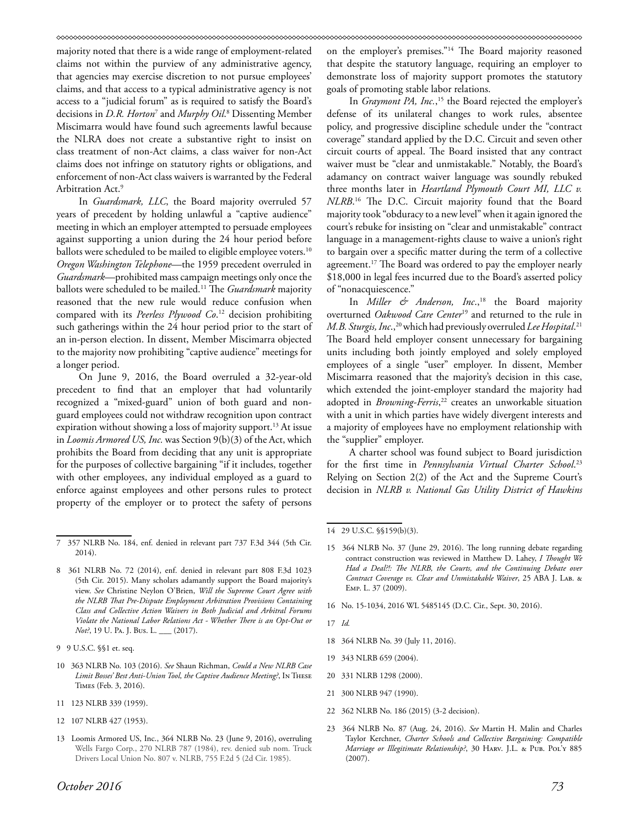majority noted that there is a wide range of employment-related claims not within the purview of any administrative agency, that agencies may exercise discretion to not pursue employees' claims, and that access to a typical administrative agency is not access to a "judicial forum" as is required to satisfy the Board's decisions in *D.R. Horton*<sup>7</sup> and *Murphy Oil*. 8 Dissenting Member Miscimarra would have found such agreements lawful because the NLRA does not create a substantive right to insist on class treatment of non-Act claims, a class waiver for non-Act claims does not infringe on statutory rights or obligations, and enforcement of non-Act class waivers is warranted by the Federal Arbitration Act.<sup>9</sup>

In *Guardsmark, LLC*, the Board majority overruled 57 years of precedent by holding unlawful a "captive audience" meeting in which an employer attempted to persuade employees against supporting a union during the 24 hour period before ballots were scheduled to be mailed to eligible employee voters.<sup>10</sup> *Oregon Washington Telephone*—the 1959 precedent overruled in *Guardsmark*—prohibited mass campaign meetings only once the ballots were scheduled to be mailed.11 The *Guardsmark* majority reasoned that the new rule would reduce confusion when compared with its *Peerless Plywood Co*. 12 decision prohibiting such gatherings within the 24 hour period prior to the start of an in-person election. In dissent, Member Miscimarra objected to the majority now prohibiting "captive audience" meetings for a longer period.

On June 9, 2016, the Board overruled a 32-year-old precedent to find that an employer that had voluntarily recognized a "mixed-guard" union of both guard and nonguard employees could not withdraw recognition upon contract expiration without showing a loss of majority support.<sup>13</sup> At issue in *Loomis Armored US, Inc.* was Section 9(b)(3) of the Act, which prohibits the Board from deciding that any unit is appropriate for the purposes of collective bargaining "if it includes, together with other employees, any individual employed as a guard to enforce against employees and other persons rules to protect property of the employer or to protect the safety of persons

- 10 363 NLRB No. 103 (2016). *See* Shaun Richman, *Could a New NLRB Case Limit Bosses' Best Anti-Union Tool, the Captive Audience Meeting?*, In These Times (Feb. 3, 2016).
- 11 123 NLRB 339 (1959).
- 12 107 NLRB 427 (1953).
- 13 Loomis Armored US, Inc., 364 NLRB No. 23 (June 9, 2016), overruling Wells Fargo Corp., 270 NLRB 787 (1984), rev. denied sub nom. Truck Drivers Local Union No. 807 v. NLRB, 755 F.2d 5 (2d Cir. 1985).

on the employer's premises."14 The Board majority reasoned that despite the statutory language, requiring an employer to demonstrate loss of majority support promotes the statutory goals of promoting stable labor relations.

In *Graymont PA, Inc.*, 15 the Board rejected the employer's defense of its unilateral changes to work rules, absentee policy, and progressive discipline schedule under the "contract coverage" standard applied by the D.C. Circuit and seven other circuit courts of appeal. The Board insisted that any contract waiver must be "clear and unmistakable." Notably, the Board's adamancy on contract waiver language was soundly rebuked three months later in *Heartland Plymouth Court MI, LLC v. NLRB*. 16 The D.C. Circuit majority found that the Board majority took "obduracy to a new level" when it again ignored the court's rebuke for insisting on "clear and unmistakable" contract language in a management-rights clause to waive a union's right to bargain over a specific matter during the term of a collective agreement.<sup>17</sup> The Board was ordered to pay the employer nearly \$18,000 in legal fees incurred due to the Board's asserted policy of "nonacquiescence."

In *Miller & Anderson*, Inc.,<sup>18</sup> the Board majority overturned *Oakwood Care Center*19 and returned to the rule in *M.B. Sturgis, Inc*.,20 which had previously overruled *Lee Hospital*. 21 The Board held employer consent unnecessary for bargaining units including both jointly employed and solely employed employees of a single "user" employer. In dissent, Member Miscimarra reasoned that the majority's decision in this case, which extended the joint-employer standard the majority had adopted in *Browning-Ferris*, 22 creates an unworkable situation with a unit in which parties have widely divergent interests and a majority of employees have no employment relationship with the "supplier" employer.

A charter school was found subject to Board jurisdiction for the first time in *Pennsylvania Virtual Charter School*. 23 Relying on Section 2(2) of the Act and the Supreme Court's decision in *NLRB v. National Gas Utility District of Hawkins* 

16 No. 15-1034, 2016 WL 5485145 (D.C. Cir., Sept. 30, 2016).

- 18 364 NLRB No. 39 (July 11, 2016).
- 19 343 NLRB 659 (2004).
- 20 331 NLRB 1298 (2000).
- 21 300 NLRB 947 (1990).
- 22 362 NLRB No. 186 (2015) (3-2 decision).
- 23 364 NLRB No. 87 (Aug. 24, 2016). *See* Martin H. Malin and Charles Taylor Kerchner, *Charter Schools and Collective Bargaining: Compatible Marriage or Illegitimate Relationship?*, 30 HARV. J.L. & PUB. POL'Y 885 (2007).

<sup>7 357</sup> NLRB No. 184, enf. denied in relevant part 737 F.3d 344 (5th Cir. 2014).

<sup>8 361</sup> NLRB No. 72 (2014), enf. denied in relevant part 808 F.3d 1023 (5th Cir. 2015). Many scholars adamantly support the Board majority's view. *See* Christine Neylon O'Brien, *Will the Supreme Court Agree with the NLRB That Pre-Dispute Employment Arbitration Provisions Containing Class and Collective Action Waivers in Both Judicial and Arbitral Forums Violate the National Labor Relations Act - Whether There is an Opt-Out or Not?*, 19 U. Pa. J. Bus. L. \_\_ (2017).

<sup>9 9</sup> U.S.C. §§1 et. seq.

<sup>14 29</sup> U.S.C. §§159(b)(3).

<sup>15 364</sup> NLRB No. 37 (June 29, 2016). The long running debate regarding contract construction was reviewed in Matthew D. Lahey, *I Thought We Had a Deal?!: The NLRB, the Courts, and the Continuing Debate over Contract Coverage vs. Clear and Unmistakable Waiver*, 25 ABA J. Lab. & Emp. L. 37 (2009).

<sup>17</sup> *Id.*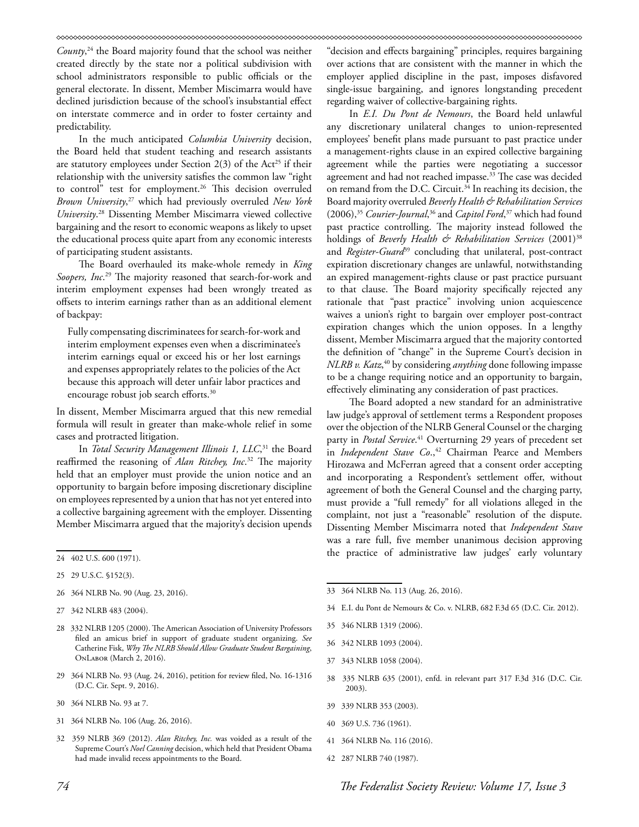## 

*County*, 24 the Board majority found that the school was neither created directly by the state nor a political subdivision with school administrators responsible to public officials or the general electorate. In dissent, Member Miscimarra would have declined jurisdiction because of the school's insubstantial effect on interstate commerce and in order to foster certainty and predictability.

In the much anticipated *Columbia University* decision, the Board held that student teaching and research assistants are statutory employees under Section  $2(3)$  of the Act<sup>25</sup> if their relationship with the university satisfies the common law "right to control" test for employment.<sup>26</sup> This decision overruled *Brown University*, 27 which had previously overruled *New York University*. 28 Dissenting Member Miscimarra viewed collective bargaining and the resort to economic weapons as likely to upset the educational process quite apart from any economic interests of participating student assistants.

The Board overhauled its make-whole remedy in *King Soopers, Inc*. 29 The majority reasoned that search-for-work and interim employment expenses had been wrongly treated as offsets to interim earnings rather than as an additional element of backpay:

Fully compensating discriminatees for search-for-work and interim employment expenses even when a discriminatee's interim earnings equal or exceed his or her lost earnings and expenses appropriately relates to the policies of the Act because this approach will deter unfair labor practices and encourage robust job search efforts.<sup>30</sup>

In dissent, Member Miscimarra argued that this new remedial formula will result in greater than make-whole relief in some cases and protracted litigation.

In *Total Security Management Illinois 1, LLC*, 31 the Board reaffirmed the reasoning of *Alan Ritchey, Inc*. 32 The majority held that an employer must provide the union notice and an opportunity to bargain before imposing discretionary discipline on employees represented by a union that has not yet entered into a collective bargaining agreement with the employer. Dissenting Member Miscimarra argued that the majority's decision upends

- 26 364 NLRB No. 90 (Aug. 23, 2016).
- 27 342 NLRB 483 (2004).
- 28 332 NLRB 1205 (2000). The American Association of University Professors filed an amicus brief in support of graduate student organizing. *See* Catherine Fisk, *Why The NLRB Should Allow Graduate Student Bargaining*, OnLabor (March 2, 2016).
- 29 364 NLRB No. 93 (Aug. 24, 2016), petition for review filed, No. 16-1316 (D.C. Cir. Sept. 9, 2016).
- 30 364 NLRB No. 93 at 7.
- 31 364 NLRB No. 106 (Aug. 26, 2016).
- 32 359 NLRB 369 (2012). *Alan Ritchey, Inc.* was voided as a result of the Supreme Court's *Noel Canning* decision, which held that President Obama had made invalid recess appointments to the Board.

"decision and effects bargaining" principles, requires bargaining over actions that are consistent with the manner in which the employer applied discipline in the past, imposes disfavored single-issue bargaining, and ignores longstanding precedent regarding waiver of collective-bargaining rights.

In *E.I. Du Pont de Nemours*, the Board held unlawful any discretionary unilateral changes to union-represented employees' benefit plans made pursuant to past practice under a management-rights clause in an expired collective bargaining agreement while the parties were negotiating a successor agreement and had not reached impasse.<sup>33</sup> The case was decided on remand from the D.C. Circuit.<sup>34</sup> In reaching its decision, the Board majority overruled *Beverly Health & Rehabilitation Services* (2006),35 *Courier-Journal*, 36 and *Capitol Ford*, 37 which had found past practice controlling. The majority instead followed the holdings of *Beverly Health & Rehabilitation Services* (2001)<sup>38</sup> and *Register-Guard<sup>59</sup>* concluding that unilateral, post-contract expiration discretionary changes are unlawful, notwithstanding an expired management-rights clause or past practice pursuant to that clause. The Board majority specifically rejected any rationale that "past practice" involving union acquiescence waives a union's right to bargain over employer post-contract expiration changes which the union opposes. In a lengthy dissent, Member Miscimarra argued that the majority contorted the definition of "change" in the Supreme Court's decision in *NLRB v. Katz*, 40 by considering *anything* done following impasse to be a change requiring notice and an opportunity to bargain, effectively eliminating any consideration of past practices.

The Board adopted a new standard for an administrative law judge's approval of settlement terms a Respondent proposes over the objection of the NLRB General Counsel or the charging party in *Postal Service*. 41 Overturning 29 years of precedent set in *Independent Stave Co.*,<sup>42</sup> Chairman Pearce and Members Hirozawa and McFerran agreed that a consent order accepting and incorporating a Respondent's settlement offer, without agreement of both the General Counsel and the charging party, must provide a "full remedy" for all violations alleged in the complaint, not just a "reasonable" resolution of the dispute. Dissenting Member Miscimarra noted that *Independent Stave* was a rare full, five member unanimous decision approving the practice of administrative law judges' early voluntary

- 33 364 NLRB No. 113 (Aug. 26, 2016).
- 34 E.I. du Pont de Nemours & Co. v. NLRB, 682 F.3d 65 (D.C. Cir. 2012).
- 35 346 NLRB 1319 (2006).
- 36 342 NLRB 1093 (2004).
- 37 343 NLRB 1058 (2004).
- 38 335 NLRB 635 (2001), enfd. in relevant part 317 F.3d 316 (D.C. Cir. 2003).
- 39 339 NLRB 353 (2003).
- 40 369 U.S. 736 (1961).
- 41 364 NLRB No. 116 (2016).
- 42 287 NLRB 740 (1987).

<sup>24 402</sup> U.S. 600 (1971).

<sup>25 29</sup> U.S.C. §152(3).